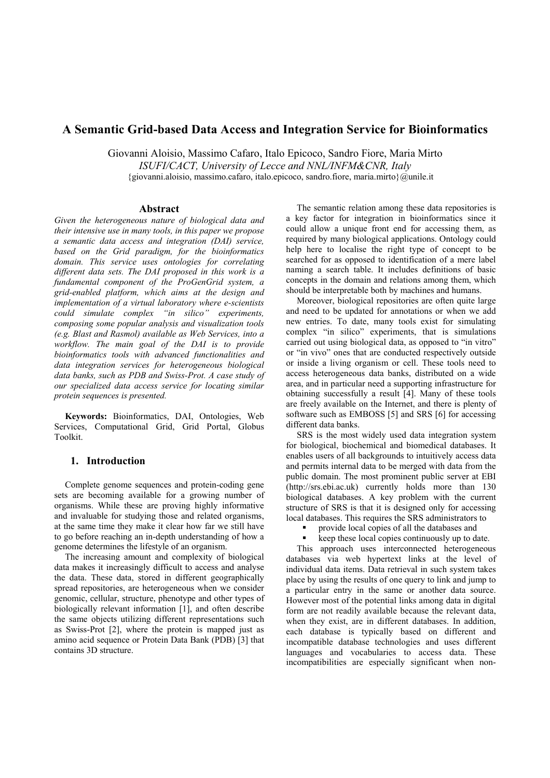# **A Semantic Grid-based Data Access and Integration Service for Bioinformatics**

Giovanni Aloisio, Massimo Cafaro, Italo Epicoco, Sandro Fiore, Maria Mirto *ISUFI/CACT, University of Lecce and NNL/INFM&CNR, Italy*  {giovanni.aloisio, massimo.cafaro, italo.epicoco, sandro.fiore, maria.mirto}@unile.it

#### **Abstract**

*Given the heterogeneous nature of biological data and their intensive use in many tools, in this paper we propose a semantic data access and integration (DAI) service, based on the Grid paradigm, for the bioinformatics domain. This service uses ontologies for correlating different data sets. The DAI proposed in this work is a fundamental component of the ProGenGrid system, a grid-enabled platform, which aims at the design and implementation of a virtual laboratory where e-scientists could simulate complex "in silico" experiments, composing some popular analysis and visualization tools (e.g. Blast and Rasmol) available as Web Services, into a workflow. The main goal of the DAI is to provide bioinformatics tools with advanced functionalities and data integration services for heterogeneous biological data banks, such as PDB and Swiss-Prot. A case study of our specialized data access service for locating similar protein sequences is presented.* 

**Keywords:** Bioinformatics, DAI, Ontologies, Web Services, Computational Grid, Grid Portal, Globus Toolkit.

### **1. Introduction**

Complete genome sequences and protein-coding gene sets are becoming available for a growing number of organisms. While these are proving highly informative and invaluable for studying those and related organisms, at the same time they make it clear how far we still have to go before reaching an in-depth understanding of how a genome determines the lifestyle of an organism.

The increasing amount and complexity of biological data makes it increasingly difficult to access and analyse the data. These data, stored in different geographically spread repositories, are heterogeneous when we consider genomic, cellular, structure, phenotype and other types of biologically relevant information [1], and often describe the same objects utilizing different representations such as Swiss-Prot [2], where the protein is mapped just as amino acid sequence or Protein Data Bank (PDB) [3] that contains 3D structure.

The semantic relation among these data repositories is a key factor for integration in bioinformatics since it could allow a unique front end for accessing them, as required by many biological applications. Ontology could help here to localise the right type of concept to be searched for as opposed to identification of a mere label naming a search table. It includes definitions of basic concepts in the domain and relations among them, which should be interpretable both by machines and humans.

Moreover, biological repositories are often quite large and need to be updated for annotations or when we add new entries. To date, many tools exist for simulating complex "in silico" experiments, that is simulations carried out using biological data, as opposed to "in vitro" or "in vivo" ones that are conducted respectively outside or inside a living organism or cell. These tools need to access heterogeneous data banks, distributed on a wide area, and in particular need a supporting infrastructure for obtaining successfully a result [4]. Many of these tools are freely available on the Internet, and there is plenty of software such as EMBOSS [5] and SRS [6] for accessing different data banks.

SRS is the most widely used data integration system for biological, biochemical and biomedical databases. It enables users of all backgrounds to intuitively access data and permits internal data to be merged with data from the public domain. The most prominent public server at EBI (http://srs.ebi.ac.uk) currently holds more than 130 biological databases. A key problem with the current structure of SRS is that it is designed only for accessing local databases. This requires the SRS administrators to

- provide local copies of all the databases and
- keep these local copies continuously up to date.

This approach uses interconnected heterogeneous databases via web hypertext links at the level of individual data items. Data retrieval in such system takes place by using the results of one query to link and jump to a particular entry in the same or another data source. However most of the potential links among data in digital form are not readily available because the relevant data, when they exist, are in different databases. In addition, each database is typically based on different and incompatible database technologies and uses different languages and vocabularies to access data. These incompatibilities are especially significant when non-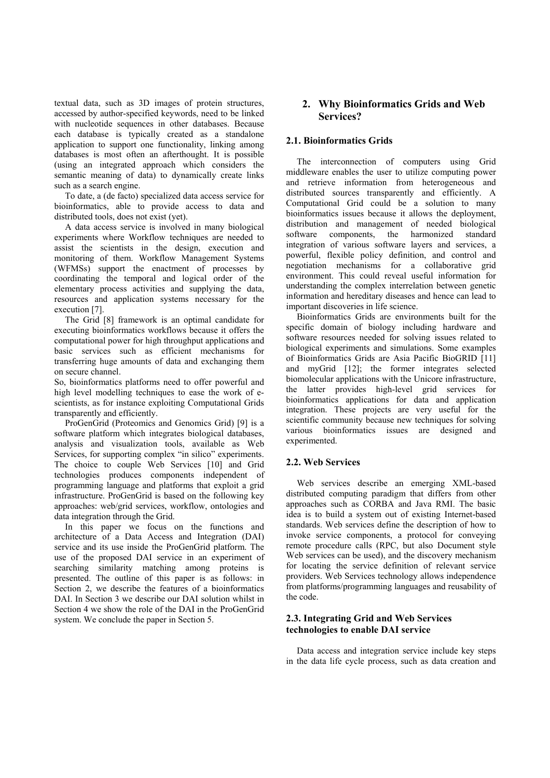textual data, such as 3D images of protein structures, accessed by author-specified keywords, need to be linked with nucleotide sequences in other databases. Because each database is typically created as a standalone application to support one functionality, linking among databases is most often an afterthought. It is possible (using an integrated approach which considers the semantic meaning of data) to dynamically create links such as a search engine.

To date, a (de facto) specialized data access service for bioinformatics, able to provide access to data and distributed tools, does not exist (yet).

A data access service is involved in many biological experiments where Workflow techniques are needed to assist the scientists in the design, execution and monitoring of them. Workflow Management Systems (WFMSs) support the enactment of processes by coordinating the temporal and logical order of the elementary process activities and supplying the data, resources and application systems necessary for the execution [7].

The Grid [8] framework is an optimal candidate for executing bioinformatics workflows because it offers the computational power for high throughput applications and basic services such as efficient mechanisms for transferring huge amounts of data and exchanging them on secure channel.

So, bioinformatics platforms need to offer powerful and high level modelling techniques to ease the work of escientists, as for instance exploiting Computational Grids transparently and efficiently.

ProGenGrid (Proteomics and Genomics Grid) [9] is a software platform which integrates biological databases, analysis and visualization tools, available as Web Services, for supporting complex "in silico" experiments. The choice to couple Web Services [10] and Grid technologies produces components independent of programming language and platforms that exploit a grid infrastructure. ProGenGrid is based on the following key approaches: web/grid services, workflow, ontologies and data integration through the Grid.

In this paper we focus on the functions and architecture of a Data Access and Integration (DAI) service and its use inside the ProGenGrid platform. The use of the proposed DAI service in an experiment of searching similarity matching among proteins is presented. The outline of this paper is as follows: in Section 2, we describe the features of a bioinformatics DAI. In Section 3 we describe our DAI solution whilst in Section 4 we show the role of the DAI in the ProGenGrid system. We conclude the paper in Section 5.

## **2. Why Bioinformatics Grids and Web Services?**

## **2.1. Bioinformatics Grids**

The interconnection of computers using Grid middleware enables the user to utilize computing power and retrieve information from heterogeneous and distributed sources transparently and efficiently. A Computational Grid could be a solution to many bioinformatics issues because it allows the deployment, distribution and management of needed biological software components, the harmonized standard integration of various software layers and services, a powerful, flexible policy definition, and control and negotiation mechanisms for a collaborative grid environment. This could reveal useful information for understanding the complex interrelation between genetic information and hereditary diseases and hence can lead to important discoveries in life science.

Bioinformatics Grids are environments built for the specific domain of biology including hardware and software resources needed for solving issues related to biological experiments and simulations. Some examples of Bioinformatics Grids are Asia Pacific BioGRID [11] and myGrid [12]; the former integrates selected biomolecular applications with the Unicore infrastructure, the latter provides high-level grid services for bioinformatics applications for data and application integration. These projects are very useful for the scientific community because new techniques for solving various bioinformatics issues are designed and experimented.

### **2.2. Web Services**

Web services describe an emerging XML-based distributed computing paradigm that differs from other approaches such as CORBA and Java RMI. The basic idea is to build a system out of existing Internet-based standards. Web services define the description of how to invoke service components, a protocol for conveying remote procedure calls (RPC, but also Document style Web services can be used), and the discovery mechanism for locating the service definition of relevant service providers. Web Services technology allows independence from platforms/programming languages and reusability of the code.

### **2.3. Integrating Grid and Web Services technologies to enable DAI service**

Data access and integration service include key steps in the data life cycle process, such as data creation and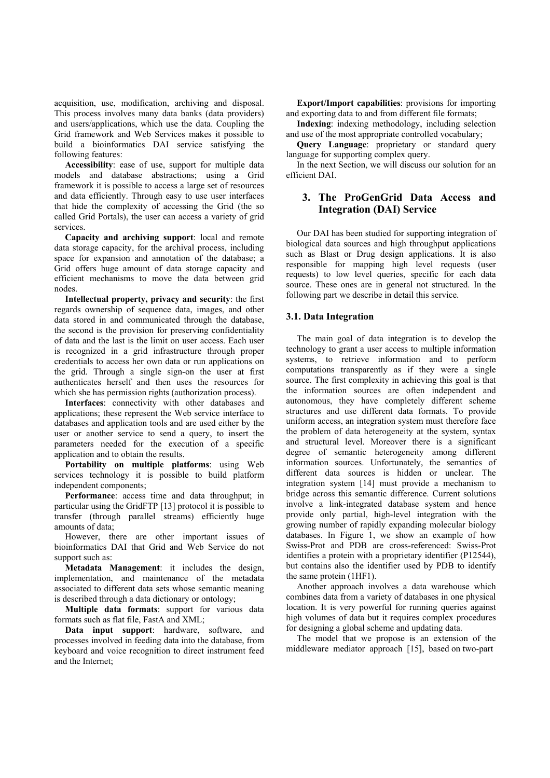acquisition, use, modification, archiving and disposal. This process involves many data banks (data providers) and users/applications, which use the data. Coupling the Grid framework and Web Services makes it possible to build a bioinformatics DAI service satisfying the following features:

**Accessibility**: ease of use, support for multiple data models and database abstractions; using a Grid framework it is possible to access a large set of resources and data efficiently. Through easy to use user interfaces that hide the complexity of accessing the Grid (the so called Grid Portals), the user can access a variety of grid services.

**Capacity and archiving support**: local and remote data storage capacity, for the archival process, including space for expansion and annotation of the database; a Grid offers huge amount of data storage capacity and efficient mechanisms to move the data between grid nodes.

**Intellectual property, privacy and security**: the first regards ownership of sequence data, images, and other data stored in and communicated through the database, the second is the provision for preserving confidentiality of data and the last is the limit on user access. Each user is recognized in a grid infrastructure through proper credentials to access her own data or run applications on the grid. Through a single sign-on the user at first authenticates herself and then uses the resources for which she has permission rights (authorization process).

**Interfaces**: connectivity with other databases and applications; these represent the Web service interface to databases and application tools and are used either by the user or another service to send a query, to insert the parameters needed for the execution of a specific application and to obtain the results.

**Portability on multiple platforms**: using Web services technology it is possible to build platform independent components;

**Performance**: access time and data throughput; in particular using the GridFTP [13] protocol it is possible to transfer (through parallel streams) efficiently huge amounts of data;

However, there are other important issues of bioinformatics DAI that Grid and Web Service do not support such as:

**Metadata Management**: it includes the design, implementation, and maintenance of the metadata associated to different data sets whose semantic meaning is described through a data dictionary or ontology;

**Multiple data formats**: support for various data formats such as flat file, FastA and XML;

**Data input support**: hardware, software, and processes involved in feeding data into the database, from keyboard and voice recognition to direct instrument feed and the Internet;

**Export/Import capabilities**: provisions for importing and exporting data to and from different file formats;

**Indexing**: indexing methodology, including selection and use of the most appropriate controlled vocabulary;

**Query Language**: proprietary or standard query language for supporting complex query.

In the next Section, we will discuss our solution for an efficient DAI.

# **3. The ProGenGrid Data Access and Integration (DAI) Service**

Our DAI has been studied for supporting integration of biological data sources and high throughput applications such as Blast or Drug design applications. It is also responsible for mapping high level requests (user requests) to low level queries, specific for each data source. These ones are in general not structured. In the following part we describe in detail this service.

## **3.1. Data Integration**

The main goal of data integration is to develop the technology to grant a user access to multiple information systems, to retrieve information and to perform computations transparently as if they were a single source. The first complexity in achieving this goal is that the information sources are often independent and autonomous, they have completely different scheme structures and use different data formats. To provide uniform access, an integration system must therefore face the problem of data heterogeneity at the system, syntax and structural level. Moreover there is a significant degree of semantic heterogeneity among different information sources. Unfortunately, the semantics of different data sources is hidden or unclear. The integration system [14] must provide a mechanism to bridge across this semantic difference. Current solutions involve a link-integrated database system and hence provide only partial, high-level integration with the growing number of rapidly expanding molecular biology databases. In Figure 1, we show an example of how Swiss-Prot and PDB are cross-referenced: Swiss-Prot identifies a protein with a proprietary identifier (P12544), but contains also the identifier used by PDB to identify the same protein (1HF1).

Another approach involves a data warehouse which combines data from a variety of databases in one physical location. It is very powerful for running queries against high volumes of data but it requires complex procedures for designing a global scheme and updating data.

The model that we propose is an extension of the middleware mediator approach [15], based on two-part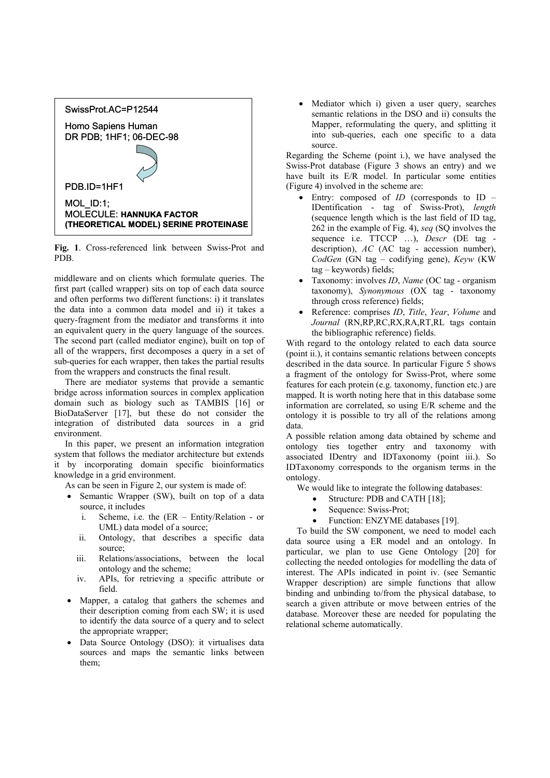

**Fig. 1**. Cross-referenced link between Swiss-Prot and PDB.

middleware and on clients which formulate queries. The first part (called wrapper) sits on top of each data source and often performs two different functions: i) it translates the data into a common data model and ii) it takes a query-fragment from the mediator and transforms it into an equivalent query in the query language of the sources. The second part (called mediator engine), built on top of all of the wrappers, first decomposes a query in a set of sub-queries for each wrapper, then takes the partial results from the wrappers and constructs the final result.

There are mediator systems that provide a semantic bridge across information sources in complex application domain such as biology such as TAMBIS [16] or BioDataServer [17], but these do not consider the integration of distributed data sources in a grid environment.

In this paper, we present an information integration system that follows the mediator architecture but extends it by incorporating domain specific bioinformatics knowledge in a grid environment.

As can be seen in Figure 2, our system is made of:

- Semantic Wrapper (SW), built on top of a data source, it includes
	- i. Scheme, i.e. the (ER Entity/Relation or UML) data model of a source;
	- ii. Ontology, that describes a specific data source;
- iii. Relations/associations, between the local ontology and the scheme;
- iv. APIs, for retrieving a specific attribute or field.
- Mapper, a catalog that gathers the schemes and their description coming from each SW; it is used to identify the data source of a query and to select the appropriate wrapper;
- Data Source Ontology (DSO): it virtualises data sources and maps the semantic links between them;

Mediator which i) given a user query, searches semantic relations in the DSO and ii) consults the Mapper, reformulating the query, and splitting it into sub-queries, each one specific to a data source.

Regarding the Scheme (point i.), we have analysed the Swiss-Prot database (Figure 3 shows an entry) and we have built its E/R model. In particular some entities (Figure 4) involved in the scheme are:

- Entry: composed of *ID* (corresponds to ID IDentification - tag of Swiss-Prot), *length* (sequence length which is the last field of ID tag, 262 in the example of Fig. 4), *seq* (SQ involves the sequence i.e. TTCCP …), *Descr* (DE tag description), *AC* (AC tag - accession number), *CodGen* (GN tag – codifying gene), *Keyw* (KW tag – keywords) fields;
- Taxonomy: involves *ID*, *Name* (OC tag organism taxonomy), *Synonymous* (OX tag - taxonomy through cross reference) fields;
- Reference: comprises *ID*, *Title*, *Year*, *Volume* and *Journal* (RN,RP,RC,RX,RA,RT,RL tags contain the bibliographic reference) fields.

With regard to the ontology related to each data source (point ii.), it contains semantic relations between concepts described in the data source. In particular Figure 5 shows a fragment of the ontology for Swiss-Prot, where some features for each protein (e.g. taxonomy, function etc.) are mapped. It is worth noting here that in this database some information are correlated, so using E/R scheme and the ontology it is possible to try all of the relations among data.

A possible relation among data obtained by scheme and ontology ties together entry and taxonomy with associated IDentry and IDTaxonomy (point iii.). So IDTaxonomy corresponds to the organism terms in the ontology.

We would like to integrate the following databases:

- Structure: PDB and CATH [18];
- Sequence: Swiss-Prot;
- Function: ENZYME databases [19].

To build the SW component, we need to model each data source using a ER model and an ontology. In particular, we plan to use Gene Ontology [20] for collecting the needed ontologies for modelling the data of interest. The APIs indicated in point iv. (see Semantic Wrapper description) are simple functions that allow binding and unbinding to/from the physical database, to search a given attribute or move between entries of the database. Moreover these are needed for populating the relational scheme automatically.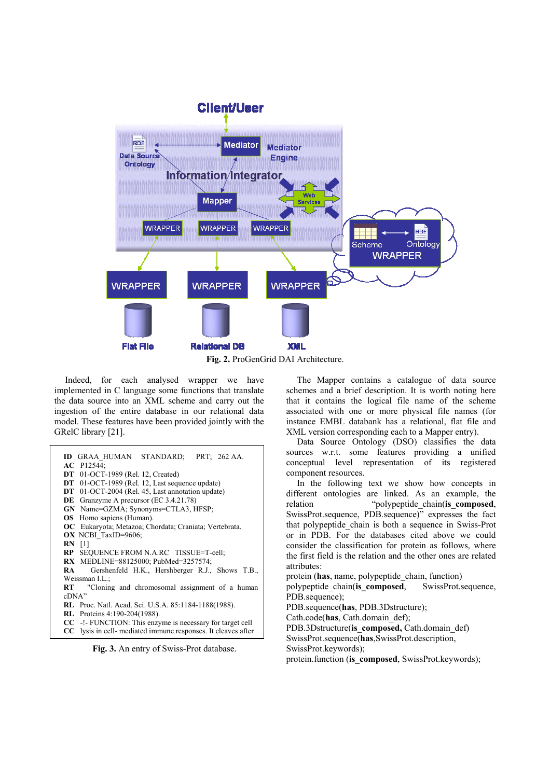

**Fig. 2.** ProGenGrid DAI Architecture.

Indeed, for each analysed wrapper we have implemented in C language some functions that translate the data source into an XML scheme and carry out the ingestion of the entire database in our relational data model. These features have been provided jointly with the GRelC library [21].

| <b>ID GRAA HUMAN STANDARD: PRT: 262 AA.</b>                          |  |  |  |  |  |  |
|----------------------------------------------------------------------|--|--|--|--|--|--|
| AC P12544;                                                           |  |  |  |  |  |  |
| <b>DT</b> 01-OCT-1989 (Rel. 12, Created)                             |  |  |  |  |  |  |
| DT 01-OCT-1989 (Rel. 12, Last sequence update)                       |  |  |  |  |  |  |
| DT 01-OCT-2004 (Rel. 45, Last annotation update)                     |  |  |  |  |  |  |
| <b>DE</b> Granzyme A precursor (EC 3.4.21.78)                        |  |  |  |  |  |  |
| GN Name=GZMA; Synonyms=CTLA3, HFSP;                                  |  |  |  |  |  |  |
| <b>OS</b> Homo sapiens (Human).                                      |  |  |  |  |  |  |
| OC Eukaryota; Metazoa; Chordata; Craniata; Vertebrata.               |  |  |  |  |  |  |
| OX NCBI TaxID=9606;                                                  |  |  |  |  |  |  |
| <b>RN</b> [1]                                                        |  |  |  |  |  |  |
| RP SEQUENCE FROM N.A.RC TISSUE=T-cell;                               |  |  |  |  |  |  |
| RX MEDLINE=88125000; PubMed=3257574;                                 |  |  |  |  |  |  |
| Gershenfeld H.K., Hershberger R.J., Shows T.B.,<br>RA 11             |  |  |  |  |  |  |
| Weissman I.L.:                                                       |  |  |  |  |  |  |
| RT "Cloning and chromosomal assignment of a human                    |  |  |  |  |  |  |
| cDNA"                                                                |  |  |  |  |  |  |
| <b>RL</b> Proc. Natl. Acad. Sci. U.S.A. 85:1184-1188(1988).          |  |  |  |  |  |  |
| <b>RL</b> Proteins 4:190-204(1988).                                  |  |  |  |  |  |  |
| $CC$ -!- FUNCTION: This enzyme is necessary for target cell          |  |  |  |  |  |  |
|                                                                      |  |  |  |  |  |  |
| <b>CC</b> lysis in cell- mediated immune responses. It cleaves after |  |  |  |  |  |  |

**Fig. 3.** An entry of Swiss-Prot database.

The Mapper contains a catalogue of data source schemes and a brief description. It is worth noting here that it contains the logical file name of the scheme associated with one or more physical file names (for instance EMBL databank has a relational, flat file and XML version corresponding each to a Mapper entry).

Data Source Ontology (DSO) classifies the data sources w.r.t. some features providing a unified conceptual level representation of its registered component resources.

In the following text we show how concepts in different ontologies are linked. As an example, the relation "polypeptide chain(**is** composed, SwissProt.sequence, PDB.sequence)" expresses the fact that polypeptide\_chain is both a sequence in Swiss-Prot or in PDB. For the databases cited above we could consider the classification for protein as follows, where the first field is the relation and the other ones are related attributes:

protein (**has**, name, polypeptide\_chain, function) polypeptide\_chain(**is\_composed**, SwissProt.sequence, PDB.sequence); PDB.sequence(**has**, PDB.3Dstructure); Cath.code(**has**, Cath.domain\_def); PDB.3Dstructure(is composed, Cath.domain def) SwissProt.sequence(**has**,SwissProt.description, SwissProt.keywords);

protein.function (**is\_composed**, SwissProt.keywords);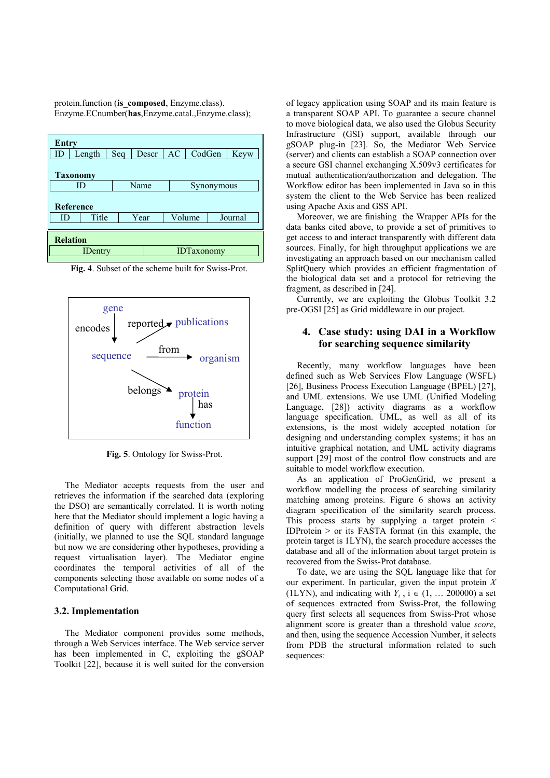protein.function (**is\_composed**, Enzyme.class). Enzyme.ECnumber(**has**,Enzyme.catal.,Enzyme.class);

| <b>Entry</b>    |                |     |                   |    |                |  |         |  |
|-----------------|----------------|-----|-------------------|----|----------------|--|---------|--|
| ID              | Length         | Seq | Descr             | AC | CodGen<br>Keyw |  |         |  |
| <b>Taxonomy</b> |                |     |                   |    |                |  |         |  |
| ID              |                |     | Name              |    | Synonymous     |  |         |  |
| Reference       |                |     |                   |    |                |  |         |  |
| ID              | Title          |     | Year              |    | Volume         |  | Journal |  |
|                 |                |     |                   |    |                |  |         |  |
| <b>Relation</b> |                |     |                   |    |                |  |         |  |
|                 | <b>IDentry</b> |     | <b>IDTaxonomy</b> |    |                |  |         |  |

**Fig. 4**. Subset of the scheme built for Swiss-Prot.



**Fig. 5**. Ontology for Swiss-Prot.

The Mediator accepts requests from the user and retrieves the information if the searched data (exploring the DSO) are semantically correlated. It is worth noting here that the Mediator should implement a logic having a definition of query with different abstraction levels (initially, we planned to use the SQL standard language but now we are considering other hypotheses, providing a request virtualisation layer). The Mediator engine coordinates the temporal activities of all of the components selecting those available on some nodes of a Computational Grid.

#### **3.2. Implementation**

The Mediator component provides some methods, through a Web Services interface. The Web service server has been implemented in C, exploiting the gSOAP Toolkit [22], because it is well suited for the conversion of legacy application using SOAP and its main feature is a transparent SOAP API. To guarantee a secure channel to move biological data, we also used the Globus Security Infrastructure (GSI) support, available through our gSOAP plug-in [23]. So, the Mediator Web Service (server) and clients can establish a SOAP connection over a secure GSI channel exchanging X.509v3 certificates for mutual authentication/authorization and delegation. The Workflow editor has been implemented in Java so in this system the client to the Web Service has been realized using Apache Axis and GSS API.

Moreover, we are finishing the Wrapper APIs for the data banks cited above, to provide a set of primitives to get access to and interact transparently with different data sources. Finally, for high throughput applications we are investigating an approach based on our mechanism called SplitQuery which provides an efficient fragmentation of the biological data set and a protocol for retrieving the fragment, as described in [24].

Currently, we are exploiting the Globus Toolkit 3.2 pre-OGSI [25] as Grid middleware in our project.

## **4. Case study: using DAI in a Workflow for searching sequence similarity**

Recently, many workflow languages have been defined such as Web Services Flow Language (WSFL) [26], Business Process Execution Language (BPEL) [27], and UML extensions. We use UML (Unified Modeling Language, [28]) activity diagrams as a workflow language specification. UML, as well as all of its extensions, is the most widely accepted notation for designing and understanding complex systems; it has an intuitive graphical notation, and UML activity diagrams support [29] most of the control flow constructs and are suitable to model workflow execution.

As an application of ProGenGrid, we present a workflow modelling the process of searching similarity matching among proteins. Figure 6 shows an activity diagram specification of the similarity search process. This process starts by supplying a target protein < IDProtein  $>$  or its FASTA format (in this example, the protein target is 1LYN), the search procedure accesses the database and all of the information about target protein is recovered from the Swiss-Prot database.

To date, we are using the SQL language like that for our experiment. In particular, given the input protein *X* (1LYN), and indicating with  $Y_i$ ,  $i \in (1, \ldots 200000)$  a set of sequences extracted from Swiss-Prot, the following query first selects all sequences from Swiss-Prot whose alignment score is greater than a threshold value *score*, and then, using the sequence Accession Number, it selects from PDB the structural information related to such sequences: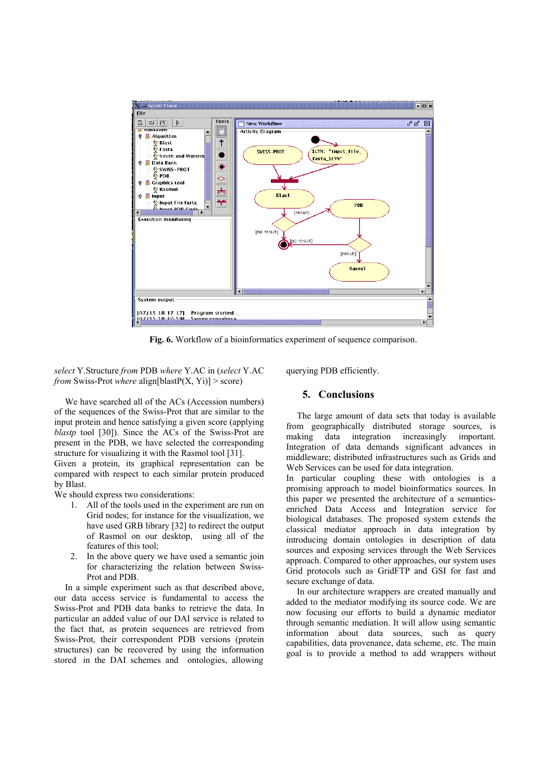

Fig. 6. Workflow of a bioinformatics experiment of sequence comparison.

*select* Y.Structure *from* PDB *where* Y.AC in (*select* Y.AC *from* Swiss-Prot *where* align[blastP(X, Yi)] > score)

We have searched all of the ACs (Accession numbers) of the sequences of the Swiss-Prot that are similar to the input protein and hence satisfying a given score (applying *blastp* tool [30]). Since the ACs of the Swiss-Prot are present in the PDB, we have selected the corresponding structure for visualizing it with the Rasmol tool [31].

Given a protein, its graphical representation can be compared with respect to each similar protein produced by Blast.

We should express two considerations:

- 1. All of the tools used in the experiment are run on Grid nodes; for instance for the visualization, we have used GRB library [32] to redirect the output of Rasmol on our desktop, using all of the features of this tool;
- 2. In the above query we have used a semantic join for characterizing the relation between Swiss-Prot and PDB.

In a simple experiment such as that described above, our data access service is fundamental to access the Swiss-Prot and PDB data banks to retrieve the data. In particular an added value of our DAI service is related to the fact that, as protein sequences are retrieved from Swiss-Prot, their correspondent PDB versions (protein structures) can be recovered by using the information stored in the DAI schemes and ontologies, allowing

querying PDB efficiently.

## **5. Conclusions**

The large amount of data sets that today is available from geographically distributed storage sources, is making data integration increasingly important. Integration of data demands significant advances in middleware; distributed infrastructures such as Grids and Web Services can be used for data integration.

In particular coupling these with ontologies is a promising approach to model bioinformatics sources. In this paper we presented the architecture of a semanticsenriched Data Access and Integration service for biological databases. The proposed system extends the classical mediator approach in data integration by introducing domain ontologies in description of data sources and exposing services through the Web Services approach. Compared to other approaches, our system uses Grid protocols such as GridFTP and GSI for fast and secure exchange of data.

In our architecture wrappers are created manually and added to the mediator modifying its source code. We are now focusing our efforts to build a dynamic mediator through semantic mediation. It will allow using semantic information about data sources, such as query capabilities, data provenance, data scheme, etc. The main goal is to provide a method to add wrappers without